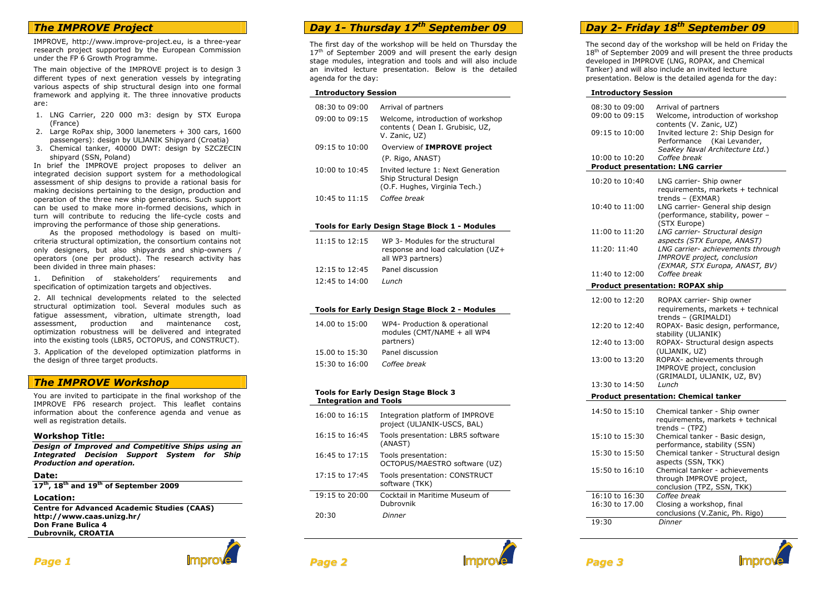## *The IMPROVE Project*

IMPROVE, http://www.improve-project.eu, is a three-year research project supported by the European Commission under the FP 6 Growth Programme.

The main objective of the IMPROVE project is to design 3 different types of next generation vessels by integrating various aspects of ship structural design into one formal framework and applying it. The three innovative products are:

- 1. LNG Carrier, 220 000 m3: design by STX Europa (France)
- 2. Large RoPax ship, 3000 lanemeters + 300 cars, 1600 passengers): design by ULJANIK Shipyard (Croatia)
- 3. Chemical tanker, 40000 DWT: design by SZCZECIN shipyard (SSN, Poland)

 In brief the IMPROVE project proposes to deliver an integrated decision support system for a methodological assessment of ship designs to provide a rational basis for making decisions pertaining to the design, production and operation of the three new ship generations. Such support can be used to make more in-formed decisions, which in turn will contribute to reducing the life-cycle costs and improving the performance of those ship generations.

 As the proposed methodology is based on multicriteria structural optimization, the consortium contains not only designers, but also shipyards and ship-owners / operators (one per product). The research activity has been divided in three main phases:

1. Definition of stakeholders' requirements and specification of optimization targets and objectives.

2. All technical developments related to the selected structural optimization tool. Several modules such as fatigue assessment, vibration, ultimate strength, load assessment, production and maintenance cost, optimization robustness will be delivered and integrated into the existing tools (LBR5, OCTOPUS, and CONSTRUCT).

3. Application of the developed optimization platforms in the design of three target products.

## *The IMPROVE Workshop*

You are invited to participate in the final workshop of the IMPROVE FP6 research project. This leaflet contains information about the conference agenda and venue as well as registration details.

### **Workshop Title:**

 *Design of Improved and Competitive Ships using an Integrated Decision Support System for Ship Production and operation.* 

#### **Date:**

**<sup>17</sup>th, 18th and 19th of September 2009** 

**Location:** 

 **Centre for Advanced Academic Studies (CAAS) http://www.caas.unizg.hr/ Don Frane Bulica 4 Dubrovnik, CROATIA** 

# *Day 1- Thursday 17th September 09*

The first day of the workshop will be held on Thursday the 17<sup>th</sup> of September 2009 and will present the early design stage modules, integration and tools and will also include an invited lecture presentation. Below is the detailed agenda for the day:

#### **Introductory Session**

| 08:30 to 09:00     | Arrival of partners                                                                           |
|--------------------|-----------------------------------------------------------------------------------------------|
| $09:00$ to $09:15$ | Welcome, introduction of workshop<br>contents (Dean I. Grubisic, UZ,<br>V. Zanic, UZ)         |
| $09:15$ to $10:00$ | Overview of IMPROVE project                                                                   |
|                    | (P. Rigo, ANAST)                                                                              |
| $10:00$ to $10:45$ | Invited lecture 1: Next Generation<br>Ship Structural Design<br>(O.F. Hughes, Virginia Tech.) |
| $10:45$ to $11:15$ | Coffee break                                                                                  |

### **Tools for Early Design Stage Block 1 - Modules**

| $11:15$ to $12:15$ | WP 3- Modules for the structural<br>response and load calculation (UZ+<br>all WP3 partners) |
|--------------------|---------------------------------------------------------------------------------------------|
| $12:15$ to $12:45$ | Panel discussion                                                                            |
| $12:45$ to $14:00$ | Lunch                                                                                       |

#### **Tools for Early Design Stage Block 2 - Modules**

| 14.00 to 15:00     | WP4- Production & operational<br>modules (CMT/NAME + all WP4<br>partners) |
|--------------------|---------------------------------------------------------------------------|
| 15.00 to 15:30     | Panel discussion                                                          |
| $15:30$ to $16:00$ | Coffee break                                                              |

#### **Tools for Early Design Stage Block 3 Integration and Tools**

| $16:00$ to $16:15$ | Integration platform of IMPROVE<br>project (ULJANIK-USCS, BAL) |
|--------------------|----------------------------------------------------------------|
| $16:15$ to $16:45$ | Tools presentation: LBR5 software<br>(ANAST)                   |
| 16:45 to 17:15     | Tools presentation:<br>OCTOPUS/MAESTRO software (UZ)           |
| $17:15$ to $17:45$ | Tools presentation: CONSTRUCT<br>software (TKK)                |
| $19:15$ to $20:00$ | Cocktail in Maritime Museum of<br>Dubrovnik                    |
| 20:30              | Dinner                                                         |

## *Day 2- Friday 18th September 09*

The second day of the workshop will be held on Friday the  $18<sup>th</sup>$  of September 2009 and will present the three products developed in IMPROVE (LNG, ROPAX, and Chemical Tanker) and will also include an invited lecture presentation. Below is the detailed agenda for the day:

#### **Introductory Session**

*Page3*

| 08:30 to 09:00<br>09:00 to 09:15         | Arrival of partners<br>Welcome, introduction of workshop         |  |  |
|------------------------------------------|------------------------------------------------------------------|--|--|
|                                          | contents (V. Zanic, UZ)                                          |  |  |
| 09:15 to 10:00                           | Invited lecture 2: Ship Design for                               |  |  |
|                                          | Performance (Kai Levander,                                       |  |  |
|                                          | SeaKey Naval Architecture Ltd.)                                  |  |  |
| 10:00 to 10:20                           | Coffee break                                                     |  |  |
| <b>Product presentation: LNG carrier</b> |                                                                  |  |  |
| 10:20 to 10:40                           | LNG carrier- Ship owner                                          |  |  |
|                                          | requirements, markets + technical                                |  |  |
|                                          | trends - (EXMAR)                                                 |  |  |
| 10:40 to 11:00                           | LNG carrier- General ship design                                 |  |  |
|                                          | (performance, stability, power -                                 |  |  |
|                                          | (STX Europe)                                                     |  |  |
| 11:00 to 11:20                           | LNG carrier- Structural design                                   |  |  |
| 11:20: 11:40                             | aspects (STX Europe, ANAST)<br>LNG carrier- achievements through |  |  |
|                                          | IMPROVE project, conclusion                                      |  |  |
|                                          | (EXMAR, STX Europa, ANAST, BV)                                   |  |  |
| 11:40 to 12:00                           | Coffee break                                                     |  |  |
|                                          | <b>Product presentation: ROPAX ship</b>                          |  |  |
|                                          |                                                                  |  |  |
| 12:00 to 12:20                           | ROPAX carrier- Ship owner                                        |  |  |
|                                          | requirements, markets + technical<br>trends - (GRIMALDI)         |  |  |
| 12:20 to 12:40                           | ROPAX- Basic design, performance,                                |  |  |
|                                          | stability (ULJANIK)                                              |  |  |
| 12:40 to 13:00                           | ROPAX- Structural design aspects                                 |  |  |
|                                          | (ULJANIK, UZ)                                                    |  |  |
| 13:00 to 13:20                           | ROPAX- achievements through                                      |  |  |
|                                          | IMPROVE project, conclusion                                      |  |  |
|                                          | (GRIMALDI, ULJANIK, UZ, BV)                                      |  |  |
| 13:30 to 14:50                           | Lunch                                                            |  |  |
|                                          | <b>Product presentation: Chemical tanker</b>                     |  |  |
| 14:50 to 15:10                           | Chemical tanker - Ship owner                                     |  |  |
|                                          | requirements, markets + technical                                |  |  |
|                                          | trends - (TPZ)                                                   |  |  |
| 15:10 to 15:30                           | Chemical tanker - Basic design,                                  |  |  |
|                                          | performance, stability (SSN)                                     |  |  |
| 15:30 to 15:50                           | Chemical tanker - Structural design                              |  |  |
|                                          | aspects (SSN, TKK)                                               |  |  |
| 15:50 to 16:10                           | Chemical tanker - achievements                                   |  |  |
|                                          | through IMPROVE project,<br>conclusion (TPZ, SSN, TKK)           |  |  |
| 16:10 to 16:30                           | Coffee break                                                     |  |  |
| 16:30 to 17.00                           | Closing a workshop, final                                        |  |  |
|                                          | conclusions (V.Zanic, Ph. Rigo)                                  |  |  |
| 19:30                                    | Dinner                                                           |  |  |